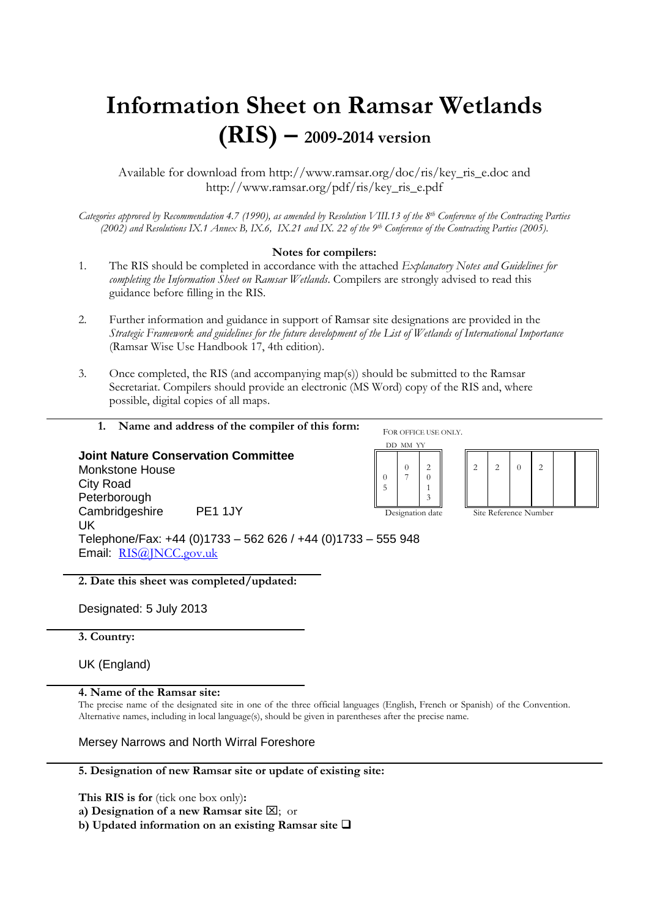# **Information Sheet on Ramsar Wetlands (RIS) – 2009-2014 version**

Available for download from http://www.ramsar.org/doc/ris/key\_ris\_e.doc and http://www.ramsar.org/pdf/ris/key\_ris\_e.pdf

*Categories approved by Recommendation 4.7 (1990), as amended by Resolution VIII.13 of the 8 th Conference of the Contracting Parties (2002) and Resolutions IX.1 Annex B, IX.6, IX.21 and IX. 22 of the 9th Conference of the Contracting Parties (2005).*

## **Notes for compilers:**

- 1. The RIS should be completed in accordance with the attached *Explanatory Notes and Guidelines for completing the Information Sheet on Ramsar Wetlands*. Compilers are strongly advised to read this guidance before filling in the RIS.
- 2. Further information and guidance in support of Ramsar site designations are provided in the *Strategic Framework and guidelines for the future development of the List of Wetlands of International Importance*  (Ramsar Wise Use Handbook 17, 4th edition).
- 3. Once completed, the RIS (and accompanying map(s)) should be submitted to the Ramsar Secretariat. Compilers should provide an electronic (MS Word) copy of the RIS and, where possible, digital copies of all maps.



**1. Name and address of the compiler of this form:** 

# **Joint Nature Conservation Committee** Monkstone House City Road Peterborough Cambridgeshire PE1 1JY UK Telephone/Fax: +44 (0)1733 – 562 626 / +44 (0)1733 – 555 948 Email: RI[S@JNCC.gov.uk](mailto:ris@JNCC.gov.uk)

**2. Date this sheet was completed/updated:**

Designated: 5 July 2013

**3. Country:**

UK (England)

**4. Name of the Ramsar site:** 

The precise name of the designated site in one of the three official languages (English, French or Spanish) of the Convention. Alternative names, including in local language(s), should be given in parentheses after the precise name.

Mersey Narrows and North Wirral Foreshore

## **5. Designation of new Ramsar site or update of existing site:**

**This RIS is for** (tick one box only)**:**

**a) Designation of a new Ramsar site**  $\boxtimes$ **;** or

**b) Updated information on an existing Ramsar site**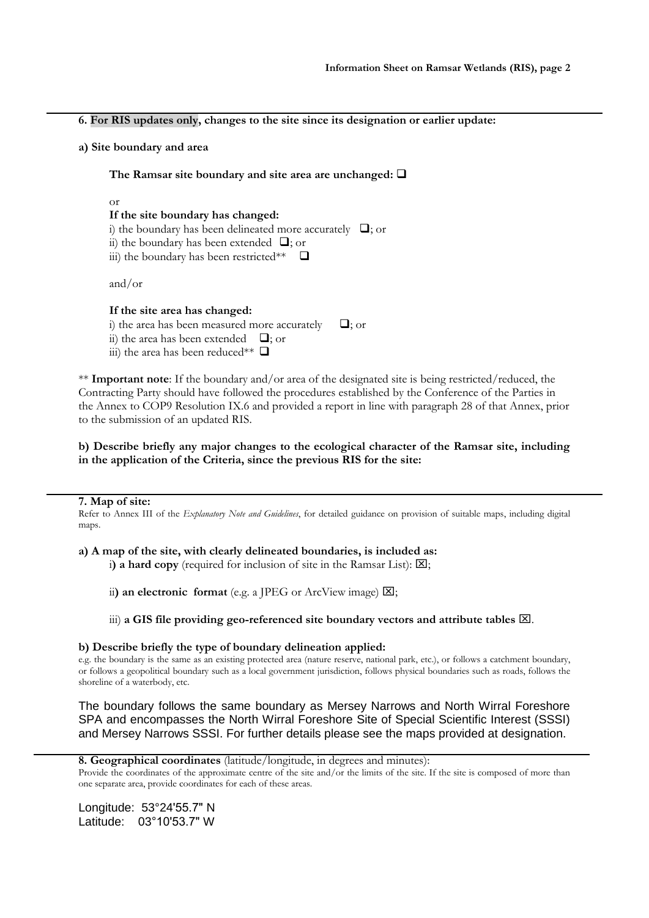**6. For RIS updates only, changes to the site since its designation or earlier update:**

**a) Site boundary and area**

**The Ramsar site boundary and site area are unchanged:**

or

# **If the site boundary has changed:**

i) the boundary has been delineated more accurately  $\Box$ ; or

ii) the boundary has been extended  $\Box$ ; or

iii) the boundary has been restricted\*\*  $\Box$ 

and/or

# **If the site area has changed:**

- i) the area has been measured more accurately  $\Box$ ; or ii) the area has been extended  $\Box$ ; or
- iii) the area has been reduced\*\*  $\Box$

\*\* **Important note**: If the boundary and/or area of the designated site is being restricted/reduced, the Contracting Party should have followed the procedures established by the Conference of the Parties in the Annex to COP9 Resolution IX.6 and provided a report in line with paragraph 28 of that Annex, prior to the submission of an updated RIS.

## **b) Describe briefly any major changes to the ecological character of the Ramsar site, including in the application of the Criteria, since the previous RIS for the site:**

## **7. Map of site:**

Refer to Annex III of the *Explanatory Note and Guidelines*, for detailed guidance on provision of suitable maps, including digital maps.

# **a) A map of the site, with clearly delineated boundaries, is included as:**

i) a hard copy (required for inclusion of site in the Ramsar List):  $[\mathbf{X}]$ ;

ii) an electronic format (e.g. a JPEG or ArcView image)  $\boxtimes$ ;

# iii) a GIS file providing geo-referenced site boundary vectors and attribute tables  $[**2**]$ .

# **b) Describe briefly the type of boundary delineation applied:**

e.g. the boundary is the same as an existing protected area (nature reserve, national park, etc.), or follows a catchment boundary, or follows a geopolitical boundary such as a local government jurisdiction, follows physical boundaries such as roads, follows the shoreline of a waterbody, etc.

The boundary follows the same boundary as Mersey Narrows and North Wirral Foreshore SPA and encompasses the North Wirral Foreshore Site of Special Scientific Interest (SSSI) and Mersey Narrows SSSI. For further details please see the maps provided at designation.

**8. Geographical coordinates** (latitude/longitude, in degrees and minutes):

Provide the coordinates of the approximate centre of the site and/or the limits of the site. If the site is composed of more than one separate area, provide coordinates for each of these areas.

Longitude: 53°24ʹ55.7ʺ N Latitude: 03°10ʹ53.7ʺ W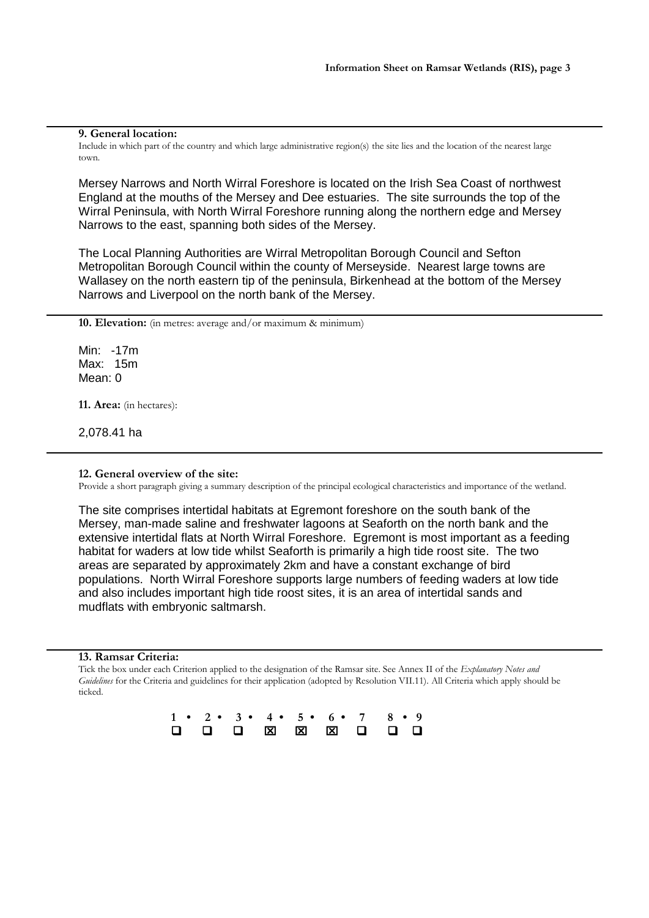#### **9. General location:**

Include in which part of the country and which large administrative region(s) the site lies and the location of the nearest large town.

Mersey Narrows and North Wirral Foreshore is located on the Irish Sea Coast of northwest England at the mouths of the Mersey and Dee estuaries. The site surrounds the top of the Wirral Peninsula, with North Wirral Foreshore running along the northern edge and Mersey Narrows to the east, spanning both sides of the Mersey.

The Local Planning Authorities are Wirral Metropolitan Borough Council and Sefton Metropolitan Borough Council within the county of Merseyside. Nearest large towns are Wallasey on the north eastern tip of the peninsula, Birkenhead at the bottom of the Mersey Narrows and Liverpool on the north bank of the Mersey.

**10. Elevation:** (in metres: average and/or maximum & minimum)

Min: -17m Max: 15m Mean: 0

**11. Area:** (in hectares):

2,078.41 ha

**12. General overview of the site:** 

Provide a short paragraph giving a summary description of the principal ecological characteristics and importance of the wetland.

The site comprises intertidal habitats at Egremont foreshore on the south bank of the Mersey, man-made saline and freshwater lagoons at Seaforth on the north bank and the extensive intertidal flats at North Wirral Foreshore. Egremont is most important as a feeding habitat for waders at low tide whilst Seaforth is primarily a high tide roost site. The two areas are separated by approximately 2km and have a constant exchange of bird populations. North Wirral Foreshore supports large numbers of feeding waders at low tide and also includes important high tide roost sites, it is an area of intertidal sands and mudflats with embryonic saltmarsh.

#### **13. Ramsar Criteria:**

Tick the box under each Criterion applied to the designation of the Ramsar site. See Annex II of the *Explanatory Notes and Guidelines* for the Criteria and guidelines for their application (adopted by Resolution VII.11). All Criteria which apply should be ticked.

|  |  |  |  | $1 \cdot 2 \cdot 3 \cdot 4 \cdot 5 \cdot 6 \cdot 7 \cdot 8 \cdot 9$ |
|--|--|--|--|---------------------------------------------------------------------|
|  |  |  |  |                                                                     |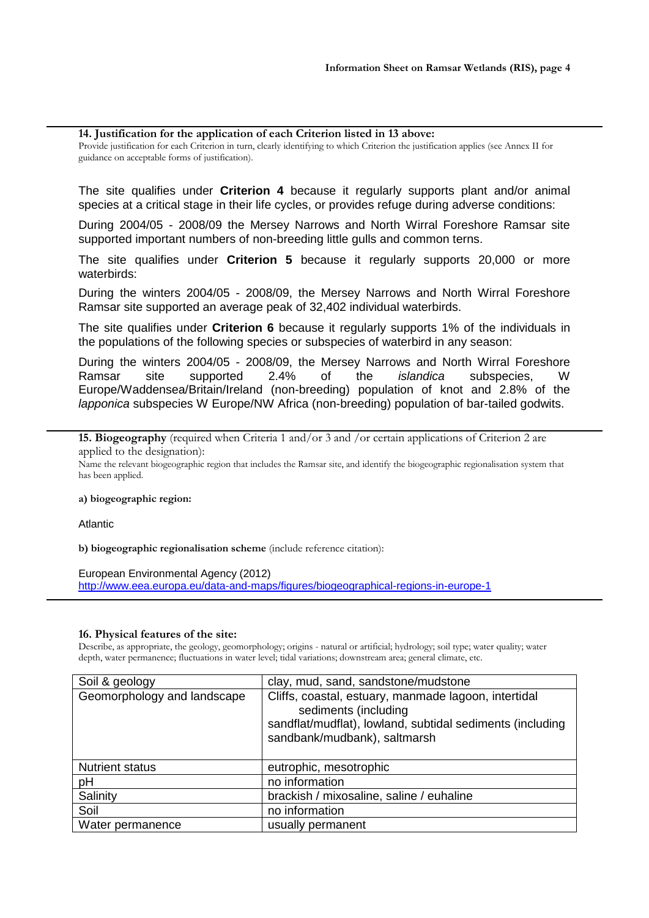#### **14. Justification for the application of each Criterion listed in 13 above:**

Provide justification for each Criterion in turn, clearly identifying to which Criterion the justification applies (see Annex II for guidance on acceptable forms of justification).

The site qualifies under **Criterion 4** because it regularly supports plant and/or animal species at a critical stage in their life cycles, or provides refuge during adverse conditions:

During 2004/05 - 2008/09 the Mersey Narrows and North Wirral Foreshore Ramsar site supported important numbers of non-breeding little gulls and common terns.

The site qualifies under **Criterion 5** because it regularly supports 20,000 or more waterbirds:

During the winters 2004/05 - 2008/09, the Mersey Narrows and North Wirral Foreshore Ramsar site supported an average peak of 32,402 individual waterbirds.

The site qualifies under **Criterion 6** because it regularly supports 1% of the individuals in the populations of the following species or subspecies of waterbird in any season:

During the winters 2004/05 - 2008/09, the Mersey Narrows and North Wirral Foreshore Ramsar site supported 2.4% of the *islandica* subspecies, W Europe/Waddensea/Britain/Ireland (non-breeding) population of knot and 2.8% of the *lapponica* subspecies W Europe/NW Africa (non-breeding) population of bar-tailed godwits.

**15. Biogeography** (required when Criteria 1 and/or 3 and /or certain applications of Criterion 2 are applied to the designation):

Name the relevant biogeographic region that includes the Ramsar site, and identify the biogeographic regionalisation system that has been applied.

#### **a) biogeographic region:**

Atlantic

**b) biogeographic regionalisation scheme** (include reference citation):

## European Environmental Agency (2012)

<http://www.eea.europa.eu/data-and-maps/figures/biogeographical-regions-in-europe-1>

## **16. Physical features of the site:**

Describe, as appropriate, the geology, geomorphology; origins - natural or artificial; hydrology; soil type; water quality; water depth, water permanence; fluctuations in water level; tidal variations; downstream area; general climate, etc.

| Soil & geology              | clay, mud, sand, sandstone/mudstone                                                                                                                                       |
|-----------------------------|---------------------------------------------------------------------------------------------------------------------------------------------------------------------------|
| Geomorphology and landscape | Cliffs, coastal, estuary, manmade lagoon, intertidal<br>sediments (including<br>sandflat/mudflat), lowland, subtidal sediments (including<br>sandbank/mudbank), saltmarsh |
| <b>Nutrient status</b>      | eutrophic, mesotrophic                                                                                                                                                    |
| pH                          | no information                                                                                                                                                            |
| Salinity                    | brackish / mixosaline, saline / euhaline                                                                                                                                  |
| Soil                        | no information                                                                                                                                                            |
| Water permanence            | usually permanent                                                                                                                                                         |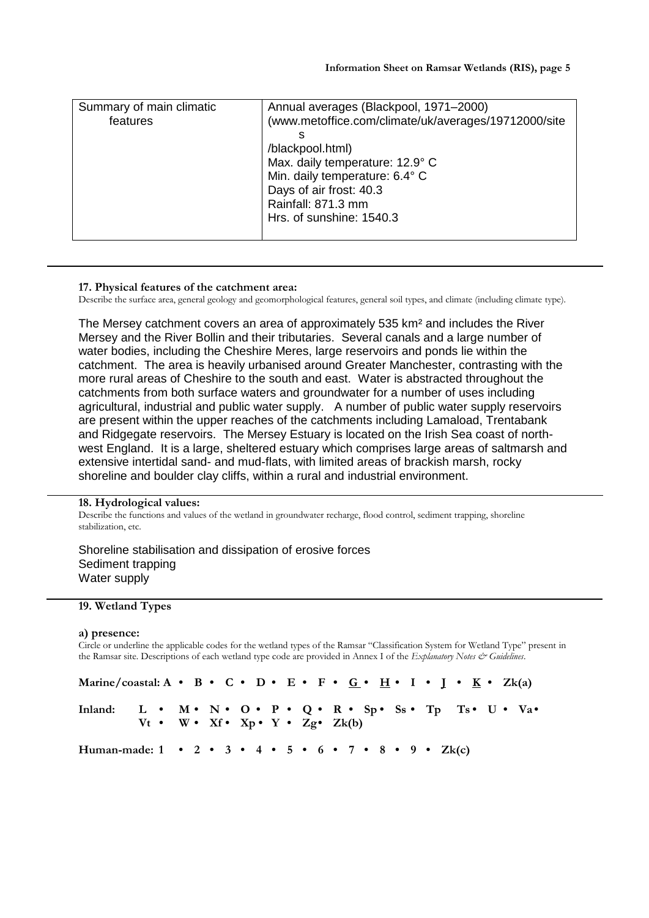| Summary of main climatic<br>features | Annual averages (Blackpool, 1971–2000)<br>(www.metoffice.com/climate/uk/averages/19712000/site<br>S<br>/blackpool.html)<br>Max. daily temperature: 12.9° C<br>Min. daily temperature: 6.4° C<br>Days of air frost: 40.3<br>Rainfall: 871.3 mm |
|--------------------------------------|-----------------------------------------------------------------------------------------------------------------------------------------------------------------------------------------------------------------------------------------------|
|                                      | Hrs. of sunshine: 1540.3                                                                                                                                                                                                                      |

#### **17. Physical features of the catchment area:**

Describe the surface area, general geology and geomorphological features, general soil types, and climate (including climate type).

The Mersey catchment covers an area of approximately 535 km² and includes the River Mersey and the River Bollin and their tributaries. Several canals and a large number of water bodies, including the Cheshire Meres, large reservoirs and ponds lie within the catchment. The area is heavily urbanised around Greater Manchester, contrasting with the more rural areas of Cheshire to the south and east. Water is abstracted throughout the catchments from both surface waters and groundwater for a number of uses including agricultural, industrial and public water supply. A number of public water supply reservoirs are present within the upper reaches of the catchments including Lamaload, Trentabank and Ridgegate reservoirs. The Mersey Estuary is located on the Irish Sea coast of northwest England. It is a large, sheltered estuary which comprises large areas of saltmarsh and extensive intertidal sand- and mud-flats, with limited areas of brackish marsh, rocky shoreline and boulder clay cliffs, within a rural and industrial environment.

## **18. Hydrological values:**

Describe the functions and values of the wetland in groundwater recharge, flood control, sediment trapping, shoreline stabilization, etc.

Shoreline stabilisation and dissipation of erosive forces Sediment trapping Water supply

# **19. Wetland Types**

#### **a) presence:**

Circle or underline the applicable codes for the wetland types of the Ramsar "Classification System for Wetland Type" present in the Ramsar site. Descriptions of each wetland type code are provided in Annex I of the *Explanatory Notes & Guidelines*.

| Marine/coastal: A • B • C • D • E • F • G • H • I • I • K • Zk(a) |                                                             |  |  |  |  |  |  |  |  |  |  |  |  |
|-------------------------------------------------------------------|-------------------------------------------------------------|--|--|--|--|--|--|--|--|--|--|--|--|
| Inland: L • M • N • O • P • Q • R • Sp • Ss • Tp Ts • U • Va •    | $Vt \cdot W \cdot Xf \cdot Xp \cdot Y \cdot Zg \cdot Zk(b)$ |  |  |  |  |  |  |  |  |  |  |  |  |
| Human-made: 1 • 2 • 3 • 4 • 5 • 6 • 7 • 8 • 9 • Zk(c)             |                                                             |  |  |  |  |  |  |  |  |  |  |  |  |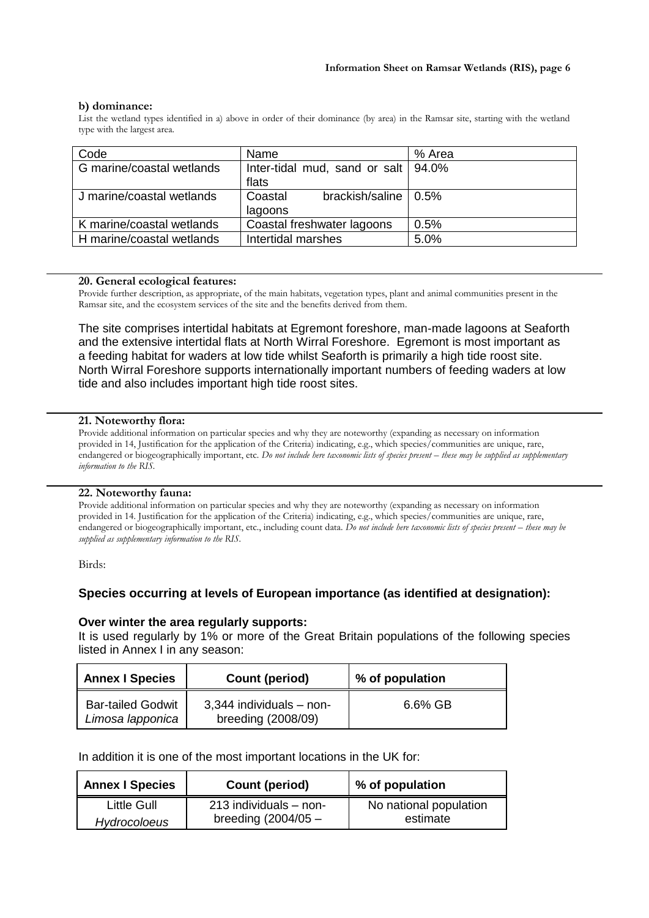## **b) dominance:**

List the wetland types identified in a) above in order of their dominance (by area) in the Ramsar site, starting with the wetland type with the largest area.

| Code                      | Name                                             | % Area |  |  |
|---------------------------|--------------------------------------------------|--------|--|--|
| G marine/coastal wetlands | Inter-tidal mud, sand or salt $94.0\%$           |        |  |  |
|                           | flats                                            |        |  |  |
| J marine/coastal wetlands | brackish/saline $\vert 0.5\% \rangle$<br>Coastal |        |  |  |
|                           | lagoons                                          |        |  |  |
| K marine/coastal wetlands | Coastal freshwater lagoons                       | 0.5%   |  |  |
| H marine/coastal wetlands | Intertidal marshes                               |        |  |  |

#### **20. General ecological features:**

Provide further description, as appropriate, of the main habitats, vegetation types, plant and animal communities present in the Ramsar site, and the ecosystem services of the site and the benefits derived from them.

The site comprises intertidal habitats at Egremont foreshore, man-made lagoons at Seaforth and the extensive intertidal flats at North Wirral Foreshore. Egremont is most important as a feeding habitat for waders at low tide whilst Seaforth is primarily a high tide roost site. North Wirral Foreshore supports internationally important numbers of feeding waders at low tide and also includes important high tide roost sites.

#### **21. Noteworthy flora:**

Provide additional information on particular species and why they are noteworthy (expanding as necessary on information provided in 14, Justification for the application of the Criteria) indicating, e.g., which species/communities are unique, rare, endangered or biogeographically important, etc. *Do not include here taxonomic lists of species present – these may be supplied as supplementary information to the RIS.*

## **22. Noteworthy fauna:**

Provide additional information on particular species and why they are noteworthy (expanding as necessary on information provided in 14. Justification for the application of the Criteria) indicating, e.g., which species/communities are unique, rare, endangered or biogeographically important, etc., including count data. *Do not include here taxonomic lists of species present - these may be supplied as supplementary information to the RIS.*

Birds:

# **Species occurring at levels of European importance (as identified at designation):**

## **Over winter the area regularly supports:**

It is used regularly by 1% or more of the Great Britain populations of the following species listed in Annex I in any season:

| <b>Annex I Species</b>                       | Count (period)                                 | % of population |  |  |  |
|----------------------------------------------|------------------------------------------------|-----------------|--|--|--|
| <b>Bar-tailed Godwit</b><br>Limosa lapponica | 3,344 individuals - non-<br>breeding (2008/09) | 6.6% GB         |  |  |  |

## In addition it is one of the most important locations in the UK for:

| <b>Annex I Species</b> | Count (period)             | % of population        |  |  |  |
|------------------------|----------------------------|------------------------|--|--|--|
| Little Gull            | $213$ individuals $-$ non- | No national population |  |  |  |
| <b>Hydrocoloeus</b>    | breeding $(2004/05 -$      | estimate               |  |  |  |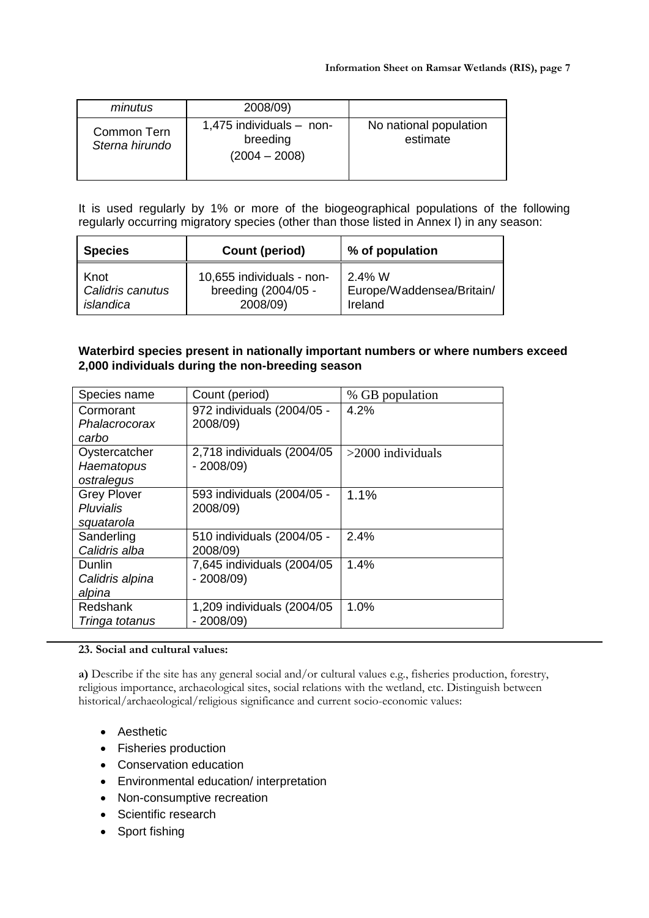| minutus                       | 2008/09)                                                  |                                    |
|-------------------------------|-----------------------------------------------------------|------------------------------------|
| Common Tern<br>Sterna hirundo | 1,475 individuals $-$ non-<br>breeding<br>$(2004 - 2008)$ | No national population<br>estimate |

It is used regularly by 1% or more of the biogeographical populations of the following regularly occurring migratory species (other than those listed in Annex I) in any season:

| <b>Species</b>   | Count (period)            | % of population           |  |  |  |
|------------------|---------------------------|---------------------------|--|--|--|
| Knot             | 10,655 individuals - non- | $2.4\%$ W                 |  |  |  |
| Calidris canutus | breeding (2004/05 -       | Europe/Waddensea/Britain/ |  |  |  |
| islandica        | 2008/09)                  | Ireland                   |  |  |  |

# **Waterbird species present in nationally important numbers or where numbers exceed 2,000 individuals during the non-breeding season**

| Species name                | Count (period)                         | % GB population     |
|-----------------------------|----------------------------------------|---------------------|
| Cormorant<br>Phalacrocorax  | 972 individuals (2004/05 -<br>2008/09) | 4.2%                |
| carbo                       |                                        |                     |
| Oystercatcher               | 2,718 individuals (2004/05)            | $>2000$ individuals |
| Haematopus<br>ostralegus    | $-2008/09$                             |                     |
| <b>Grey Plover</b>          | 593 individuals (2004/05 -             | 1.1%                |
| Pluvialis                   | 2008/09)                               |                     |
| squatarola                  |                                        |                     |
| Sanderling<br>Calidris alba | 510 individuals (2004/05 -<br>2008/09) | 2.4%                |
| <b>Dunlin</b>               | 7,645 individuals (2004/05)            | 1.4%                |
| Calidris alpina             | $-2008/09$                             |                     |
| alpina                      |                                        |                     |
| Redshank                    | 1,209 individuals (2004/05)            | 1.0%                |
| Tringa totanus              | $-2008/09$                             |                     |

# **23. Social and cultural values:**

**a)** Describe if the site has any general social and/or cultural values e.g., fisheries production, forestry, religious importance, archaeological sites, social relations with the wetland, etc. Distinguish between historical/archaeological/religious significance and current socio-economic values:

- Aesthetic
- Fisheries production
- Conservation education
- Environmental education/ interpretation
- Non-consumptive recreation
- Scientific research
- Sport fishing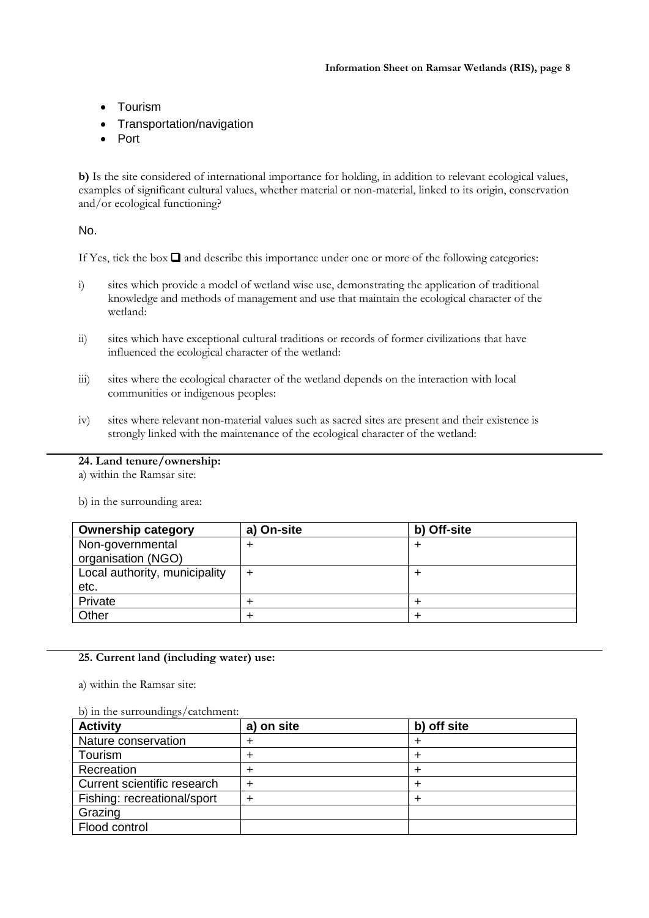- Tourism
- Transportation/navigation
- Port

**b)** Is the site considered of international importance for holding, in addition to relevant ecological values, examples of significant cultural values, whether material or non-material, linked to its origin, conservation and/or ecological functioning?

No.

If Yes, tick the box  $\Box$  and describe this importance under one or more of the following categories:

- i) sites which provide a model of wetland wise use, demonstrating the application of traditional knowledge and methods of management and use that maintain the ecological character of the wetland:
- ii) sites which have exceptional cultural traditions or records of former civilizations that have influenced the ecological character of the wetland:
- iii) sites where the ecological character of the wetland depends on the interaction with local communities or indigenous peoples:
- iv) sites where relevant non-material values such as sacred sites are present and their existence is strongly linked with the maintenance of the ecological character of the wetland:

# **24. Land tenure/ownership:**

a) within the Ramsar site:

b) in the surrounding area:

| <b>Ownership category</b>              | a) On-site | b) Off-site |
|----------------------------------------|------------|-------------|
| Non-governmental<br>organisation (NGO) |            |             |
| Local authority, municipality          | +          |             |
| etc.                                   |            |             |
| Private                                |            |             |
| Other                                  |            |             |

# **25. Current land (including water) use:**

a) within the Ramsar site:

## b) in the surroundings/catchment:

| <b>Activity</b>             | a) on site | b) off site |
|-----------------------------|------------|-------------|
| Nature conservation         |            |             |
| Tourism                     |            |             |
| Recreation                  |            |             |
| Current scientific research | ᆠ          |             |
| Fishing: recreational/sport |            |             |
| Grazing                     |            |             |
| Flood control               |            |             |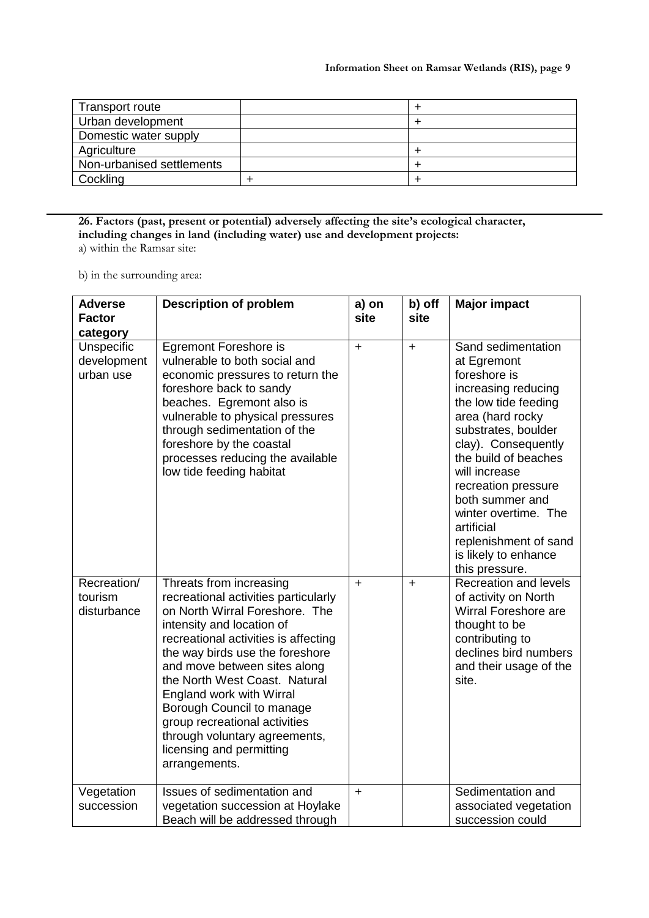| Transport route           |  |
|---------------------------|--|
| Urban development         |  |
| Domestic water supply     |  |
| Agriculture               |  |
| Non-urbanised settlements |  |
| Cockling                  |  |

**26. Factors (past, present or potential) adversely affecting the site's ecological character, including changes in land (including water) use and development projects:** a) within the Ramsar site:

b) in the surrounding area:

| <b>Adverse</b><br><b>Factor</b>                    | <b>Description of problem</b>                                                                                                                                                                                                                                                                                                                                                                                                                      | a) on<br>site | b) off<br>site | <b>Major impact</b>                                                                                                                                                                                                                                                                                                                                            |
|----------------------------------------------------|----------------------------------------------------------------------------------------------------------------------------------------------------------------------------------------------------------------------------------------------------------------------------------------------------------------------------------------------------------------------------------------------------------------------------------------------------|---------------|----------------|----------------------------------------------------------------------------------------------------------------------------------------------------------------------------------------------------------------------------------------------------------------------------------------------------------------------------------------------------------------|
| category<br>Unspecific<br>development<br>urban use | <b>Egremont Foreshore is</b><br>vulnerable to both social and<br>economic pressures to return the<br>foreshore back to sandy<br>beaches. Egremont also is<br>vulnerable to physical pressures<br>through sedimentation of the<br>foreshore by the coastal<br>processes reducing the available<br>low tide feeding habitat                                                                                                                          | $\ddot{}$     | $\ddot{}$      | Sand sedimentation<br>at Egremont<br>foreshore is<br>increasing reducing<br>the low tide feeding<br>area (hard rocky<br>substrates, boulder<br>clay). Consequently<br>the build of beaches<br>will increase<br>recreation pressure<br>both summer and<br>winter overtime. The<br>artificial<br>replenishment of sand<br>is likely to enhance<br>this pressure. |
| Recreation/<br>tourism<br>disturbance              | Threats from increasing<br>recreational activities particularly<br>on North Wirral Foreshore. The<br>intensity and location of<br>recreational activities is affecting<br>the way birds use the foreshore<br>and move between sites along<br>the North West Coast. Natural<br>England work with Wirral<br>Borough Council to manage<br>group recreational activities<br>through voluntary agreements,<br>licensing and permitting<br>arrangements. | $\ddot{}$     | $\ddot{}$      | <b>Recreation and levels</b><br>of activity on North<br>Wirral Foreshore are<br>thought to be<br>contributing to<br>declines bird numbers<br>and their usage of the<br>site.                                                                                                                                                                                   |
| Vegetation<br>succession                           | Issues of sedimentation and<br>vegetation succession at Hoylake<br>Beach will be addressed through                                                                                                                                                                                                                                                                                                                                                 | $\ddot{}$     |                | Sedimentation and<br>associated vegetation<br>succession could                                                                                                                                                                                                                                                                                                 |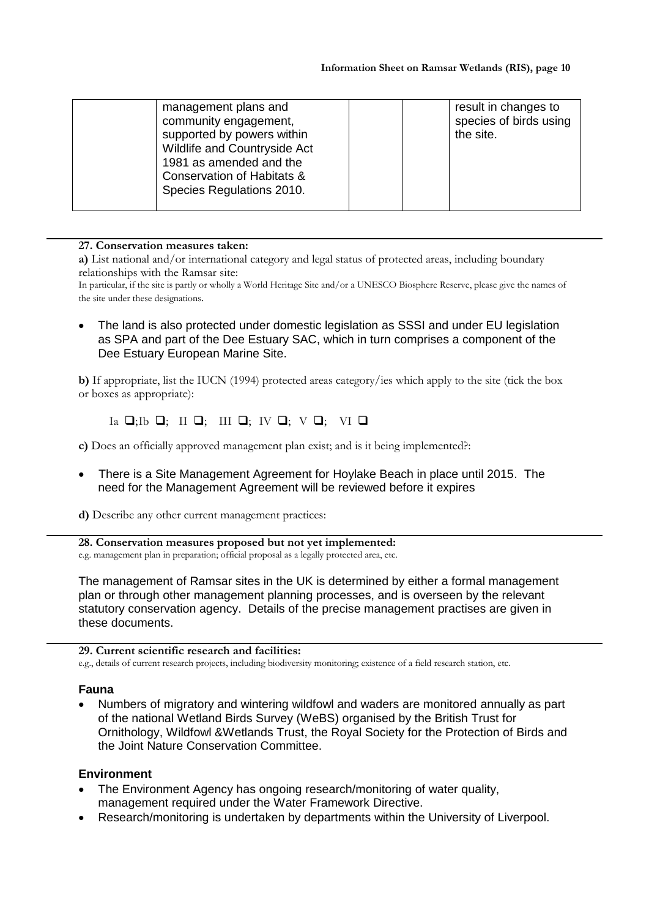| management plans and<br>community engagement,<br>supported by powers within<br>Wildlife and Countryside Act<br>1981 as amended and the<br>Conservation of Habitats &<br>Species Regulations 2010. | result in changes to<br>species of birds using<br>the site. |
|---------------------------------------------------------------------------------------------------------------------------------------------------------------------------------------------------|-------------------------------------------------------------|
|---------------------------------------------------------------------------------------------------------------------------------------------------------------------------------------------------|-------------------------------------------------------------|

**27. Conservation measures taken:**

**a)** List national and/or international category and legal status of protected areas, including boundary relationships with the Ramsar site:

In particular, if the site is partly or wholly a World Heritage Site and/or a UNESCO Biosphere Reserve, please give the names of the site under these designations.

 The land is also protected under domestic legislation as SSSI and under EU legislation as SPA and part of the Dee Estuary SAC, which in turn comprises a component of the Dee Estuary European Marine Site.

**b)** If appropriate, list the IUCN (1994) protected areas category/ies which apply to the site (tick the box or boxes as appropriate):

Ia  $\Box$ ;Ib  $\Box$ ; III  $\Box$ ; IV  $\Box$ ; V  $\Box$ ; VI  $\Box$ 

**c)** Does an officially approved management plan exist; and is it being implemented?:

- There is a Site Management Agreement for Hoylake Beach in place until 2015. The need for the Management Agreement will be reviewed before it expires
- **d)** Describe any other current management practices:

## **28. Conservation measures proposed but not yet implemented:**

e.g. management plan in preparation; official proposal as a legally protected area, etc.

The management of Ramsar sites in the UK is determined by either a formal management plan or through other management planning processes, and is overseen by the relevant statutory conservation agency. Details of the precise management practises are given in these documents.

# **29. Current scientific research and facilities:**

e.g., details of current research projects, including biodiversity monitoring; existence of a field research station, etc.

# **Fauna**

 Numbers of migratory and wintering wildfowl and waders are monitored annually as part of the national Wetland Birds Survey (WeBS) organised by the British Trust for Ornithology, Wildfowl &Wetlands Trust, the Royal Society for the Protection of Birds and the Joint Nature Conservation Committee.

# **Environment**

- The Environment Agency has ongoing research/monitoring of water quality, management required under the Water Framework Directive.
- Research/monitoring is undertaken by departments within the University of Liverpool.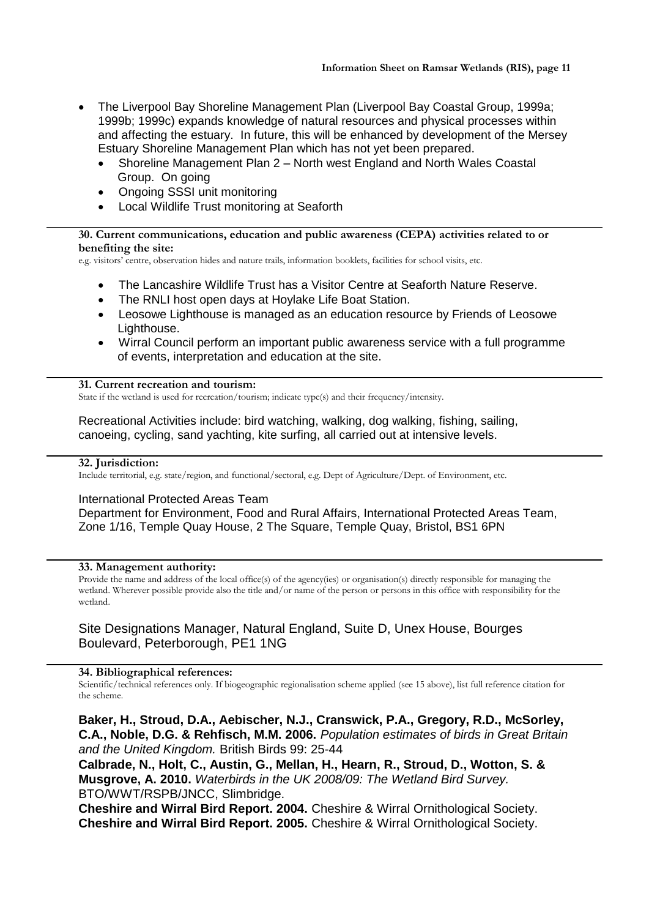- The Liverpool Bay Shoreline Management Plan (Liverpool Bay Coastal Group, 1999a; 1999b; 1999c) expands knowledge of natural resources and physical processes within and affecting the estuary. In future, this will be enhanced by development of the Mersey Estuary Shoreline Management Plan which has not yet been prepared.
	- Shoreline Management Plan 2 North west England and North Wales Coastal Group. On going
	- Ongoing SSSI unit monitoring
	- Local Wildlife Trust monitoring at Seaforth

# **30. Current communications, education and public awareness (CEPA) activities related to or benefiting the site:**

e.g. visitors' centre, observation hides and nature trails, information booklets, facilities for school visits, etc.

- The Lancashire Wildlife Trust has a Visitor Centre at Seaforth Nature Reserve.
- The RNLI host open days at Hoylake Life Boat Station.
- Leosowe Lighthouse is managed as an education resource by Friends of Leosowe Lighthouse.
- Wirral Council perform an important public awareness service with a full programme of events, interpretation and education at the site.

#### **31. Current recreation and tourism:**

State if the wetland is used for recreation/tourism; indicate type(s) and their frequency/intensity.

Recreational Activities include: bird watching, walking, dog walking, fishing, sailing, canoeing, cycling, sand yachting, kite surfing, all carried out at intensive levels.

## **32. Jurisdiction:**

Include territorial, e.g. state/region, and functional/sectoral, e.g. Dept of Agriculture/Dept. of Environment, etc.

## International Protected Areas Team

Department for Environment, Food and Rural Affairs, International Protected Areas Team, Zone 1/16, Temple Quay House, 2 The Square, Temple Quay, Bristol, BS1 6PN

## **33. Management authority:**

Provide the name and address of the local office(s) of the agency(ies) or organisation(s) directly responsible for managing the wetland. Wherever possible provide also the title and/or name of the person or persons in this office with responsibility for the wetland.

# Site Designations Manager, Natural England, Suite D, Unex House, Bourges Boulevard, Peterborough, PE1 1NG

#### **34. Bibliographical references:**

Scientific/technical references only. If biogeographic regionalisation scheme applied (see 15 above), list full reference citation for the scheme.

**Baker, H., Stroud, D.A., Aebischer, N.J., Cranswick, P.A., Gregory, R.D., McSorley, C.A., Noble, D.G. & Rehfisch, M.M. 2006.** *Population estimates of birds in Great Britain and the United Kingdom.* British Birds 99: 25-44

**Calbrade, N., Holt, C., Austin, G., Mellan, H., Hearn, R., Stroud, D., Wotton, S. & Musgrove, A. 2010.** *Waterbirds in the UK 2008/09: The Wetland Bird Survey.*  BTO/WWT/RSPB/JNCC, Slimbridge.

**Cheshire and Wirral Bird Report. 2004.** Cheshire & Wirral Ornithological Society. **Cheshire and Wirral Bird Report. 2005.** Cheshire & Wirral Ornithological Society.